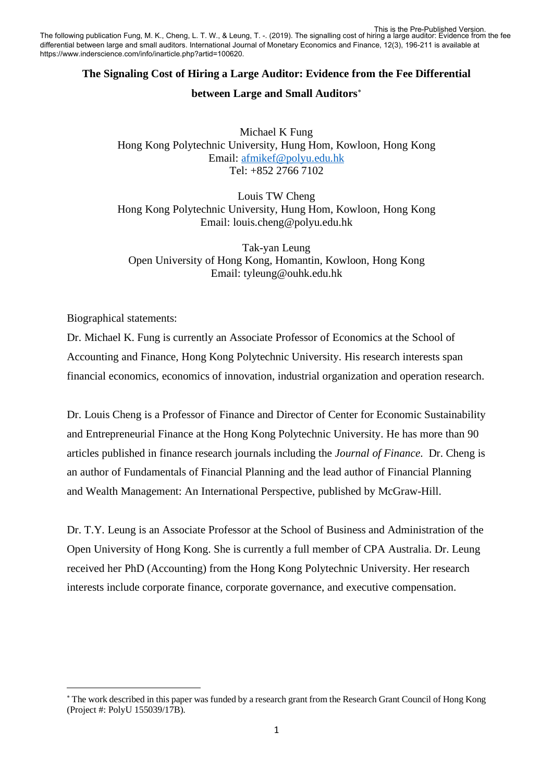This is the Pre-Published Version.<br>The following publication Fung, M. K., Cheng, L. T. W., & Leung, T. -. (2019). The signalling cost of hiring a large auditor: Evidence from the fee differential between large and small auditors. International Journal of Monetary Economics and Finance, 12(3), 196-211 is available at https://www.inderscience.com/info/inarticle.php?artid=100620.

### **The Signaling Cost of Hiring a Large Auditor: Evidence from the Fee Differential**

### **between Large and Small Auditors**[∗](#page-0-0)

Michael K Fung Hong Kong Polytechnic University, Hung Hom, Kowloon, Hong Kong Email: [afmikef@polyu.edu.hk](mailto:afmikef@polyu.edu.hk) Tel: +852 2766 7102

Louis TW Cheng Hong Kong Polytechnic University, Hung Hom, Kowloon, Hong Kong Email: louis.cheng@polyu.edu.hk

Tak-yan Leung Open University of Hong Kong, Homantin, Kowloon, Hong Kong Email: tyleung@ouhk.edu.hk

Biographical statements:

Dr. Michael K. Fung is currently an Associate Professor of Economics at the School of Accounting and Finance, Hong Kong Polytechnic University. His research interests span financial economics, economics of innovation, industrial organization and operation research.

Dr. Louis Cheng is a Professor of Finance and Director of Center for Economic Sustainability and Entrepreneurial Finance at the Hong Kong Polytechnic University. He has more than 90 articles published in finance research journals including the *Journal of Finance*. Dr. Cheng is an author of Fundamentals of Financial Planning and the lead author of Financial Planning and Wealth Management: An International Perspective, published by McGraw-Hill.

Dr. T.Y. Leung is an Associate Professor at the School of Business and Administration of the Open University of Hong Kong. She is currently a full member of CPA Australia. Dr. Leung received her PhD (Accounting) from the Hong Kong Polytechnic University. Her research interests include corporate finance, corporate governance, and executive compensation.

<span id="page-0-0"></span><sup>∗</sup> The work described in this paper was funded by a research grant from the Research Grant Council of Hong Kong (Project #: PolyU 155039/17B).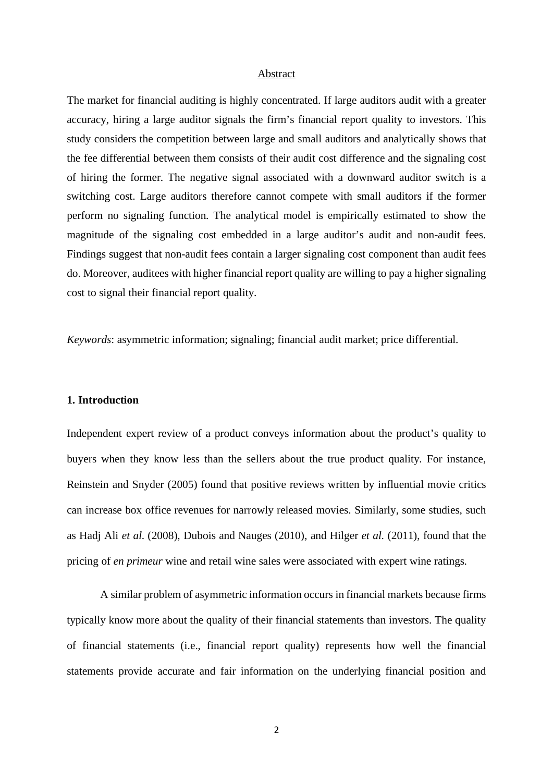#### Abstract

The market for financial auditing is highly concentrated. If large auditors audit with a greater accuracy, hiring a large auditor signals the firm's financial report quality to investors. This study considers the competition between large and small auditors and analytically shows that the fee differential between them consists of their audit cost difference and the signaling cost of hiring the former. The negative signal associated with a downward auditor switch is a switching cost. Large auditors therefore cannot compete with small auditors if the former perform no signaling function. The analytical model is empirically estimated to show the magnitude of the signaling cost embedded in a large auditor's audit and non-audit fees. Findings suggest that non-audit fees contain a larger signaling cost component than audit fees do. Moreover, auditees with higher financial report quality are willing to pay a higher signaling cost to signal their financial report quality.

*Keywords*: asymmetric information; signaling; financial audit market; price differential.

### **1. Introduction**

Independent expert review of a product conveys information about the product's quality to buyers when they know less than the sellers about the true product quality. For instance, Reinstein and Snyder (2005) found that positive reviews written by influential movie critics can increase box office revenues for narrowly released movies. Similarly, some studies, such as Hadj Ali *et al*. (2008), Dubois and Nauges (2010), and Hilger *et al*. (2011), found that the pricing of *en primeur* wine and retail wine sales were associated with expert wine ratings.

A similar problem of asymmetric information occurs in financial markets because firms typically know more about the quality of their financial statements than investors. The quality of financial statements (i.e., financial report quality) represents how well the financial statements provide accurate and fair information on the underlying financial position and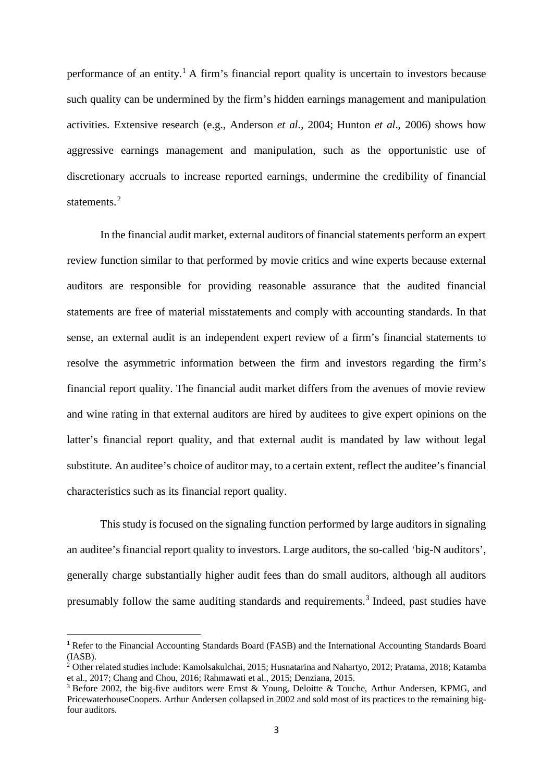performance of an entity.<sup>[1](#page-2-0)</sup> A firm's financial report quality is uncertain to investors because such quality can be undermined by the firm's hidden earnings management and manipulation activities. Extensive research (e.g., Anderson *et al*., 2004; Hunton *et al*., 2006) shows how aggressive earnings management and manipulation, such as the opportunistic use of discretionary accruals to increase reported earnings, undermine the credibility of financial statements.<sup>[2](#page-2-1)</sup>

In the financial audit market, external auditors of financial statements perform an expert review function similar to that performed by movie critics and wine experts because external auditors are responsible for providing reasonable assurance that the audited financial statements are free of material misstatements and comply with accounting standards. In that sense, an external audit is an independent expert review of a firm's financial statements to resolve the asymmetric information between the firm and investors regarding the firm's financial report quality. The financial audit market differs from the avenues of movie review and wine rating in that external auditors are hired by auditees to give expert opinions on the latter's financial report quality, and that external audit is mandated by law without legal substitute. An auditee's choice of auditor may, to a certain extent, reflect the auditee's financial characteristics such as its financial report quality.

This study is focused on the signaling function performed by large auditors in signaling an auditee's financial report quality to investors. Large auditors, the so-called 'big-N auditors', generally charge substantially higher audit fees than do small auditors, although all auditors presumably follow the same auditing standards and requirements.[3](#page-2-2) Indeed, past studies have

<span id="page-2-0"></span><sup>1</sup> Refer to the Financial Accounting Standards Board (FASB) and the International Accounting Standards Board (IASB).

<span id="page-2-1"></span><sup>2</sup> Other related studies include: Kamolsakulchai, 2015; Husnatarina and Nahartyo, 2012; Pratama, 2018; Katamba et al., 2017; Chang and Chou, 2016; Rahmawati et al., 2015; Denziana, 2015.

<span id="page-2-2"></span><sup>3</sup> Before 2002, the big-five auditors were Ernst & Young, Deloitte & Touche, Arthur Andersen, KPMG, and PricewaterhouseCoopers. Arthur Andersen collapsed in 2002 and sold most of its practices to the remaining bigfour auditors.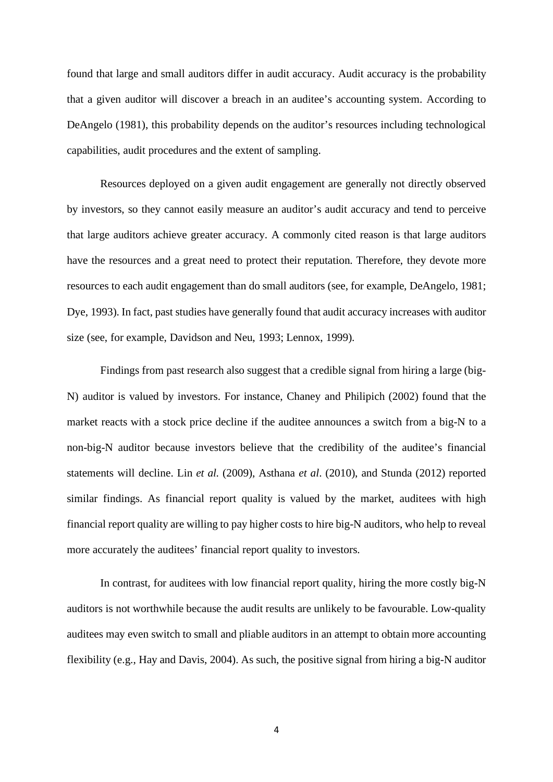found that large and small auditors differ in audit accuracy. Audit accuracy is the probability that a given auditor will discover a breach in an auditee's accounting system. According to DeAngelo (1981), this probability depends on the auditor's resources including technological capabilities, audit procedures and the extent of sampling.

Resources deployed on a given audit engagement are generally not directly observed by investors, so they cannot easily measure an auditor's audit accuracy and tend to perceive that large auditors achieve greater accuracy. A commonly cited reason is that large auditors have the resources and a great need to protect their reputation. Therefore, they devote more resources to each audit engagement than do small auditors (see, for example, DeAngelo, 1981; Dye, 1993). In fact, past studies have generally found that audit accuracy increases with auditor size (see, for example, Davidson and Neu, 1993; Lennox, 1999).

Findings from past research also suggest that a credible signal from hiring a large (big-N) auditor is valued by investors. For instance, Chaney and Philipich (2002) found that the market reacts with a stock price decline if the auditee announces a switch from a big-N to a non-big-N auditor because investors believe that the credibility of the auditee's financial statements will decline. Lin *et al.* (2009), Asthana *et al*. (2010), and Stunda (2012) reported similar findings. As financial report quality is valued by the market, auditees with high financial report quality are willing to pay higher costs to hire big-N auditors, who help to reveal more accurately the auditees' financial report quality to investors.

In contrast, for auditees with low financial report quality, hiring the more costly big-N auditors is not worthwhile because the audit results are unlikely to be favourable. Low-quality auditees may even switch to small and pliable auditors in an attempt to obtain more accounting flexibility (e.g., Hay and Davis, 2004). As such, the positive signal from hiring a big-N auditor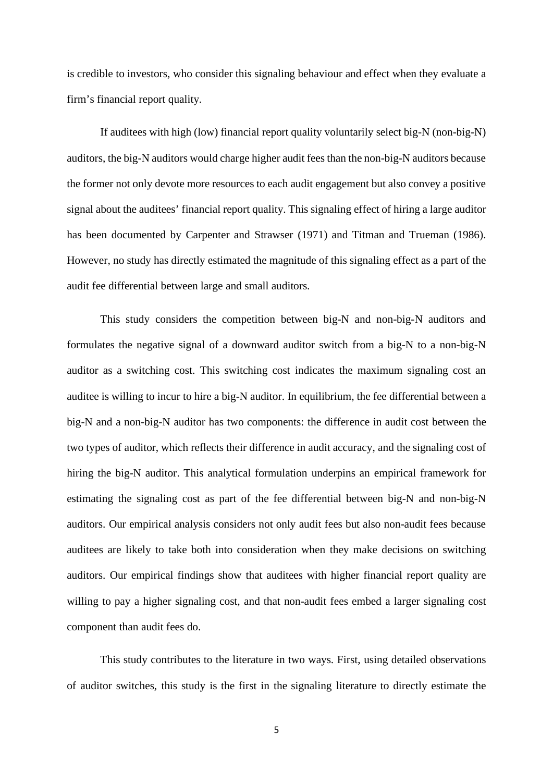is credible to investors, who consider this signaling behaviour and effect when they evaluate a firm's financial report quality.

If auditees with high (low) financial report quality voluntarily select big-N (non-big-N) auditors, the big-N auditors would charge higher audit fees than the non-big-N auditors because the former not only devote more resources to each audit engagement but also convey a positive signal about the auditees' financial report quality. This signaling effect of hiring a large auditor has been documented by Carpenter and Strawser (1971) and Titman and Trueman (1986). However, no study has directly estimated the magnitude of this signaling effect as a part of the audit fee differential between large and small auditors.

This study considers the competition between big-N and non-big-N auditors and formulates the negative signal of a downward auditor switch from a big-N to a non-big-N auditor as a switching cost. This switching cost indicates the maximum signaling cost an auditee is willing to incur to hire a big-N auditor. In equilibrium, the fee differential between a big-N and a non-big-N auditor has two components: the difference in audit cost between the two types of auditor, which reflects their difference in audit accuracy, and the signaling cost of hiring the big-N auditor. This analytical formulation underpins an empirical framework for estimating the signaling cost as part of the fee differential between big-N and non-big-N auditors. Our empirical analysis considers not only audit fees but also non-audit fees because auditees are likely to take both into consideration when they make decisions on switching auditors. Our empirical findings show that auditees with higher financial report quality are willing to pay a higher signaling cost, and that non-audit fees embed a larger signaling cost component than audit fees do.

This study contributes to the literature in two ways. First, using detailed observations of auditor switches, this study is the first in the signaling literature to directly estimate the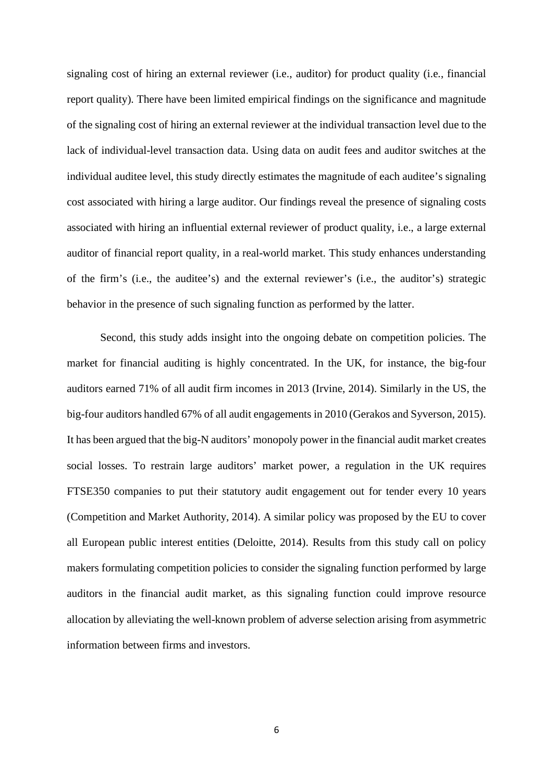signaling cost of hiring an external reviewer (i.e., auditor) for product quality (i.e., financial report quality). There have been limited empirical findings on the significance and magnitude of the signaling cost of hiring an external reviewer at the individual transaction level due to the lack of individual-level transaction data. Using data on audit fees and auditor switches at the individual auditee level, this study directly estimates the magnitude of each auditee's signaling cost associated with hiring a large auditor. Our findings reveal the presence of signaling costs associated with hiring an influential external reviewer of product quality, i.e., a large external auditor of financial report quality, in a real-world market. This study enhances understanding of the firm's (i.e., the auditee's) and the external reviewer's (i.e., the auditor's) strategic behavior in the presence of such signaling function as performed by the latter.

Second, this study adds insight into the ongoing debate on competition policies. The market for financial auditing is highly concentrated. In the UK, for instance, the big-four auditors earned 71% of all audit firm incomes in 2013 (Irvine, 2014). Similarly in the US, the big-four auditors handled 67% of all audit engagements in 2010 (Gerakos and Syverson, 2015). It has been argued that the big-N auditors' monopoly power in the financial audit market creates social losses. To restrain large auditors' market power, a regulation in the UK requires FTSE350 companies to put their statutory audit engagement out for tender every 10 years (Competition and Market Authority, 2014). A similar policy was proposed by the EU to cover all European public interest entities (Deloitte, 2014). Results from this study call on policy makers formulating competition policies to consider the signaling function performed by large auditors in the financial audit market, as this signaling function could improve resource allocation by alleviating the well-known problem of adverse selection arising from asymmetric information between firms and investors.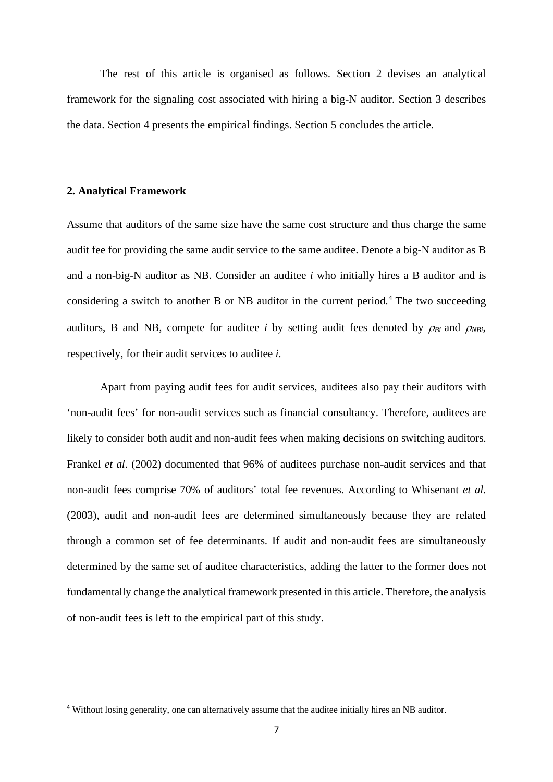The rest of this article is organised as follows. Section 2 devises an analytical framework for the signaling cost associated with hiring a big-N auditor. Section 3 describes the data. Section 4 presents the empirical findings. Section 5 concludes the article.

#### **2. Analytical Framework**

Assume that auditors of the same size have the same cost structure and thus charge the same audit fee for providing the same audit service to the same auditee. Denote a big-N auditor as B and a non-big-N auditor as NB. Consider an auditee *i* who initially hires a B auditor and is considering a switch to another B or NB auditor in the current period. [4](#page-6-0) The two succeeding auditors, B and NB, compete for auditee *i* by setting audit fees denoted by  $\rho_{Bi}$  and  $\rho_{NBi}$ , respectively, for their audit services to auditee *i*.

Apart from paying audit fees for audit services, auditees also pay their auditors with 'non-audit fees' for non-audit services such as financial consultancy. Therefore, auditees are likely to consider both audit and non-audit fees when making decisions on switching auditors. Frankel *et al*. (2002) documented that 96% of auditees purchase non-audit services and that non-audit fees comprise 70% of auditors' total fee revenues. According to Whisenant *et al*. (2003), audit and non-audit fees are determined simultaneously because they are related through a common set of fee determinants. If audit and non-audit fees are simultaneously determined by the same set of auditee characteristics, adding the latter to the former does not fundamentally change the analytical framework presented in this article. Therefore, the analysis of non-audit fees is left to the empirical part of this study.

<span id="page-6-0"></span><sup>4</sup> Without losing generality, one can alternatively assume that the auditee initially hires an NB auditor.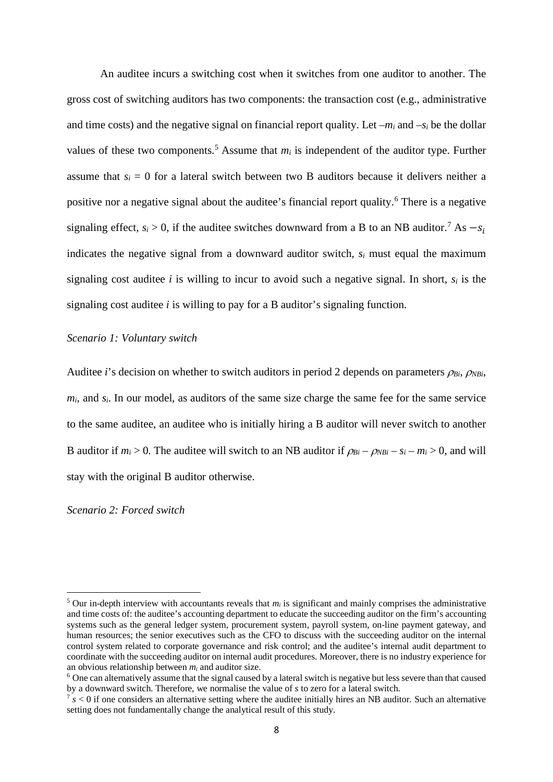An auditee incurs a switching cost when it switches from one auditor to another. The gross cost of switching auditors has two components: the transaction cost (e.g., administrative and time costs) and the negative signal on financial report quality. Let  $-m_i$  and  $-s_i$  be the dollar values of these two components.<sup>[5](#page-7-0)</sup> Assume that  $m_i$  is independent of the auditor type. Further assume that  $s_i = 0$  for a lateral switch between two B auditors because it delivers neither a positive nor a negative signal about the auditee's financial report quality. [6](#page-7-1) There is a negative signaling effect,  $s_i > 0$ , if the auditee switches downward from a B to an NB auditor.<sup>[7](#page-7-2)</sup> As  $-s_i$ indicates the negative signal from a downward auditor switch, *si* must equal the maximum signaling cost auditee *i* is willing to incur to avoid such a negative signal. In short,  $s_i$  is the signaling cost auditee *i* is willing to pay for a B auditor's signaling function.

#### *Scenario 1: Voluntary switch*

Auditee *i*'s decision on whether to switch auditors in period 2 depends on parameters *ρ<sub>Bi</sub>*, *ρ<sub>NBi</sub>*,  $m_i$ , and  $s_i$ . In our model, as auditors of the same size charge the same fee for the same service to the same auditee, an auditee who is initially hiring a B auditor will never switch to another B auditor if  $m_i > 0$ . The auditee will switch to an NB auditor if  $\rho_{Bi} - \rho_{NBi} - s_i - m_i > 0$ , and will stay with the original B auditor otherwise.

#### *Scenario 2: Forced switch*

<span id="page-7-0"></span> $5$  Our in-depth interview with accountants reveals that  $m_i$  is significant and mainly comprises the administrative and time costs of: the auditee's accounting department to educate the succeeding auditor on the firm's accounting systems such as the general ledger system, procurement system, payroll system, on-line payment gateway, and human resources; the senior executives such as the CFO to discuss with the succeeding auditor on the internal control system related to corporate governance and risk control; and the auditee's internal audit department to coordinate with the succeeding auditor on internal audit procedures. Moreover, there is no industry experience for an obvious relationship between *mi* and auditor size.

<span id="page-7-1"></span> $6$  One can alternatively assume that the signal caused by a lateral switch is negative but less severe than that caused by a downward switch. Therefore, we normalise the value of *s* to zero for a lateral switch.

<span id="page-7-2"></span> $\frac{7}{5}$  s < 0 if one considers an alternative setting where the auditee initially hires an NB auditor. Such an alternative setting does not fundamentally change the analytical result of this study.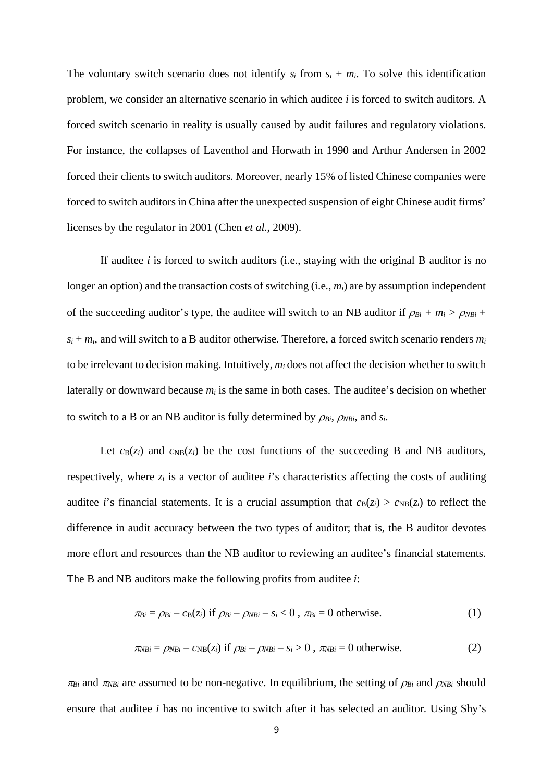The voluntary switch scenario does not identify  $s_i$  from  $s_i + m_i$ . To solve this identification problem, we consider an alternative scenario in which auditee *i* is forced to switch auditors. A forced switch scenario in reality is usually caused by audit failures and regulatory violations. For instance, the collapses of Laventhol and Horwath in 1990 and Arthur Andersen in 2002 forced their clients to switch auditors. Moreover, nearly 15% of listed Chinese companies were forced to switch auditors in China after the unexpected suspension of eight Chinese audit firms' licenses by the regulator in 2001 (Chen *et al.*, 2009).

If auditee *i* is forced to switch auditors (i.e., staying with the original B auditor is no longer an option) and the transaction costs of switching (i.e.,  $m_i$ ) are by assumption independent of the succeeding auditor's type, the auditee will switch to an NB auditor if  $\rho_{Bi} + m_i > \rho_{NBi} +$  $s_i + m_i$ , and will switch to a B auditor otherwise. Therefore, a forced switch scenario renders  $m_i$ to be irrelevant to decision making. Intuitively, *mi* does not affect the decision whether to switch laterally or downward because *mi* is the same in both cases. The auditee's decision on whether to switch to a B or an NB auditor is fully determined by  $\rho_{Bi}$ ,  $\rho_{NBi}$ , and  $s_i$ .

Let  $c_B(z_i)$  and  $c_{NB}(z_i)$  be the cost functions of the succeeding B and NB auditors, respectively, where  $z_i$  is a vector of auditee  $i$ 's characteristics affecting the costs of auditing auditee *i*'s financial statements. It is a crucial assumption that  $c_B(z_i) > c_{NB}(z_i)$  to reflect the difference in audit accuracy between the two types of auditor; that is, the B auditor devotes more effort and resources than the NB auditor to reviewing an auditee's financial statements. The B and NB auditors make the following profits from auditee *i*:

$$
\pi_{Bi} = \rho_{Bi} - c_B(z_i) \text{ if } \rho_{Bi} - \rho_{NBi} - s_i < 0 \text{, } \pi_{Bi} = 0 \text{ otherwise.} \tag{1}
$$

$$
\pi_{NBi} = \rho_{NBi} - c_{NB}(z_i) \text{ if } \rho_{Bi} - \rho_{NBi} - s_i > 0 , \pi_{NBi} = 0 \text{ otherwise.}
$$
 (2)

 $\pi_{Bi}$  and  $\pi_{NBi}$  are assumed to be non-negative. In equilibrium, the setting of  $\rho_{Bi}$  and  $\rho_{NBi}$  should ensure that auditee *i* has no incentive to switch after it has selected an auditor. Using Shy's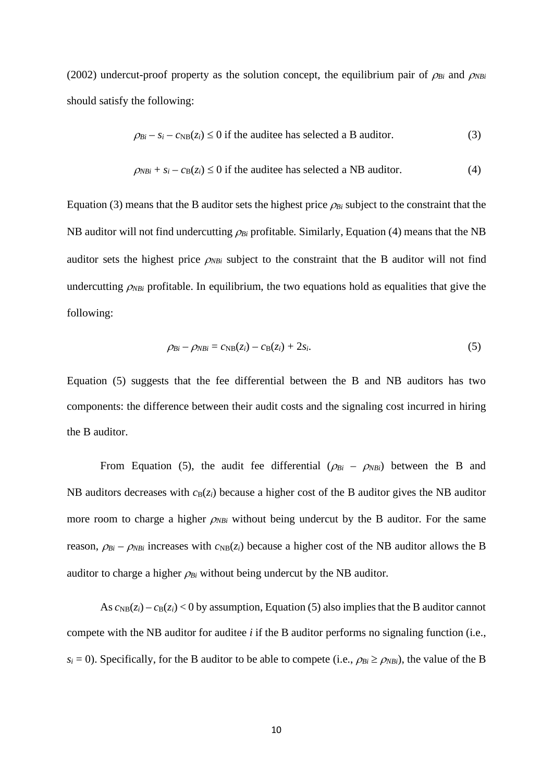(2002) undercut-proof property as the solution concept, the equilibrium pair of  $\rho_{Bi}$  and  $\rho_{NBi}$ should satisfy the following:

$$
\rho_{Bi} - s_i - c_{NB}(z_i) \le 0
$$
 if the audience has selected a B auditory. (3)

$$
\rho_{NBi} + s_i - c_B(z_i) \le 0
$$
 if the audience has selected a NB auditory. (4)

Equation (3) means that the B auditor sets the highest price  $\rho_{Bi}$  subject to the constraint that the NB auditor will not find undercutting <sup>ρ</sup>*Bi* profitable. Similarly, Equation (4) means that the NB auditor sets the highest price  $\rho_{NBi}$  subject to the constraint that the B auditor will not find undercutting  $\rho_{NBi}$  profitable. In equilibrium, the two equations hold as equalities that give the following:

$$
\rho_{Bi} - \rho_{NBi} = c_{NB}(z_i) - c_B(z_i) + 2s_i. \tag{5}
$$

Equation (5) suggests that the fee differential between the B and NB auditors has two components: the difference between their audit costs and the signaling cost incurred in hiring the B auditor.

From Equation (5), the audit fee differential  $(\rho_{Bi} - \rho_{NBi})$  between the B and NB auditors decreases with  $c_B(z_i)$  because a higher cost of the B auditor gives the NB auditor more room to charge a higher  $\rho_{NBi}$  without being undercut by the B auditor. For the same reason,  $\rho_{Bi} - \rho_{NBi}$  increases with  $c_{NB}(z_i)$  because a higher cost of the NB auditor allows the B auditor to charge a higher  $\rho_{Bi}$  without being undercut by the NB auditor.

As  $c_{\text{NB}}(z_i) - c_{\text{B}}(z_i) < 0$  by assumption, Equation (5) also implies that the B auditor cannot compete with the NB auditor for auditee *i* if the B auditor performs no signaling function (i.e.,  $s_i = 0$ ). Specifically, for the B auditor to be able to compete (i.e.,  $\rho_{Bi} \ge \rho_{NBi}$ ), the value of the B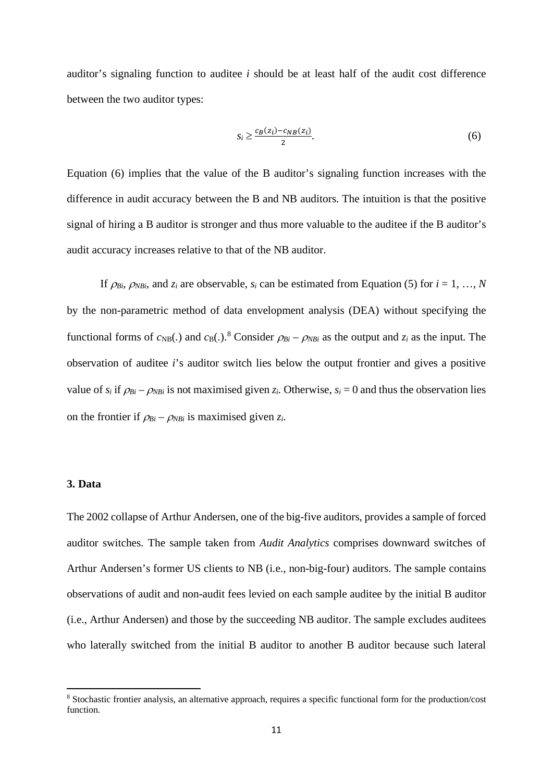auditor's signaling function to auditee *i* should be at least half of the audit cost difference between the two auditor types:

$$
s_i \ge \frac{c_B(z_i) - c_{NB}(z_i)}{2}.\tag{6}
$$

Equation (6) implies that the value of the B auditor's signaling function increases with the difference in audit accuracy between the B and NB auditors. The intuition is that the positive signal of hiring a B auditor is stronger and thus more valuable to the auditee if the B auditor's audit accuracy increases relative to that of the NB auditor.

If  $\rho_{Bi}$ ,  $\rho_{NBi}$ , and  $z_i$  are observable,  $s_i$  can be estimated from Equation (5) for  $i = 1, ..., N$ by the non-parametric method of data envelopment analysis (DEA) without specifying the functional forms of  $c_{NB}$ (.) and  $c_{B}$ (.).<sup>[8](#page-10-0)</sup> Consider  $\rho_{Bi} - \rho_{NBi}$  as the output and  $z_i$  as the input. The observation of auditee *i*'s auditor switch lies below the output frontier and gives a positive value of  $s_i$  if  $\rho_{Bi} - \rho_{NBi}$  is not maximised given  $z_i$ . Otherwise,  $s_i = 0$  and thus the observation lies on the frontier if  $\rho_{Bi} - \rho_{NBi}$  is maximised given  $z_i$ .

### **3. Data**

The 2002 collapse of Arthur Andersen, one of the big-five auditors, provides a sample of forced auditor switches. The sample taken from *Audit Analytics* comprises downward switches of Arthur Andersen's former US clients to NB (i.e., non-big-four) auditors. The sample contains observations of audit and non-audit fees levied on each sample auditee by the initial B auditor (i.e., Arthur Andersen) and those by the succeeding NB auditor. The sample excludes auditees who laterally switched from the initial B auditor to another B auditor because such lateral

<span id="page-10-0"></span><sup>8</sup> Stochastic frontier analysis, an alternative approach, requires a specific functional form for the production/cost function.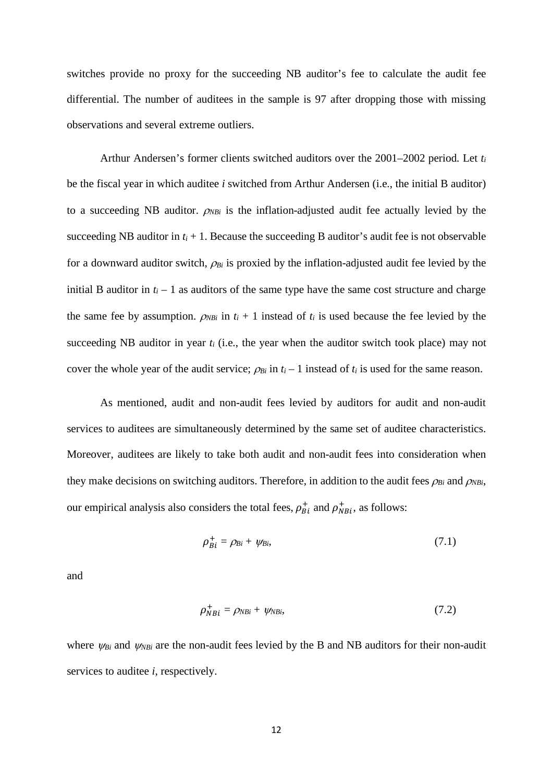switches provide no proxy for the succeeding NB auditor's fee to calculate the audit fee differential. The number of auditees in the sample is 97 after dropping those with missing observations and several extreme outliers.

Arthur Andersen's former clients switched auditors over the 2001–2002 period. Let *ti* be the fiscal year in which auditee *i* switched from Arthur Andersen (i.e., the initial B auditor) to a succeeding NB auditor. <sup>ρ</sup>*NBi* is the inflation-adjusted audit fee actually levied by the succeeding NB auditor in  $t_i + 1$ . Because the succeeding B auditor's audit fee is not observable for a downward auditor switch, <sup>ρ</sup>*Bi* is proxied by the inflation-adjusted audit fee levied by the initial B auditor in  $t_i - 1$  as auditors of the same type have the same cost structure and charge the same fee by assumption.  $\rho_{NBi}$  in  $t_i + 1$  instead of  $t_i$  is used because the fee levied by the succeeding NB auditor in year  $t_i$  (i.e., the year when the auditor switch took place) may not cover the whole year of the audit service;  $\rho_{Bi}$  in  $t_i - 1$  instead of  $t_i$  is used for the same reason.

As mentioned, audit and non-audit fees levied by auditors for audit and non-audit services to auditees are simultaneously determined by the same set of auditee characteristics. Moreover, auditees are likely to take both audit and non-audit fees into consideration when they make decisions on switching auditors. Therefore, in addition to the audit fees  $\rho_{Bi}$  and  $\rho_{NBi}$ , our empirical analysis also considers the total fees,  $\rho_{Bi}^{+}$  and  $\rho_{NBi}^{+}$ , as follows:

$$
\rho_{Bi}^{+} = \rho_{Bi} + \psi_{Bi},\tag{7.1}
$$

and

$$
\rho_{NBi}^+ = \rho_{NBi} + \psi_{NBi},\tag{7.2}
$$

where  $\psi_{Bi}$  and  $\psi_{NBi}$  are the non-audit fees levied by the B and NB auditors for their non-audit services to auditee *i*, respectively.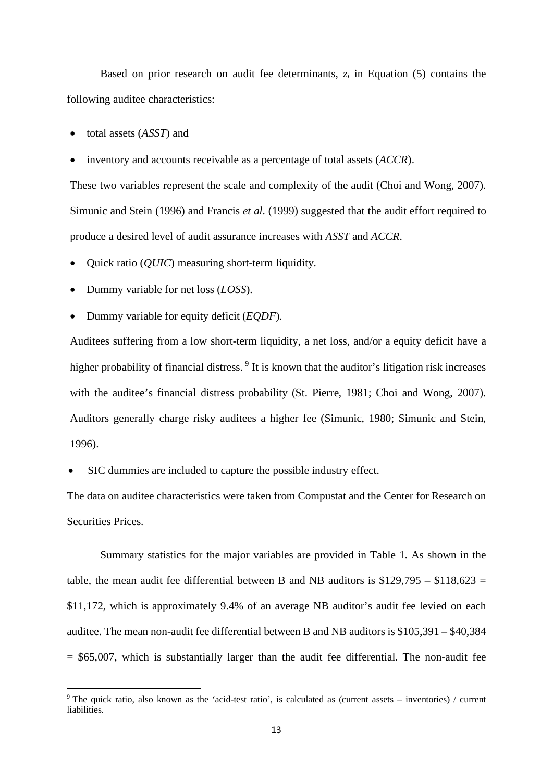Based on prior research on audit fee determinants, *zi* in Equation (5) contains the following auditee characteristics:

• total assets (*ASST*) and

• inventory and accounts receivable as a percentage of total assets (*ACCR*).

These two variables represent the scale and complexity of the audit (Choi and Wong, 2007). Simunic and Stein (1996) and Francis *et al*. (1999) suggested that the audit effort required to produce a desired level of audit assurance increases with *ASST* and *ACCR*.

- Quick ratio (*QUIC*) measuring short-term liquidity.
- Dummy variable for net loss (*LOSS*).
- Dummy variable for equity deficit (*EQDF*).

Auditees suffering from a low short-term liquidity, a net loss, and/or a equity deficit have a higher probability of financial distress.<sup>[9](#page-12-0)</sup> It is known that the auditor's litigation risk increases with the auditee's financial distress probability (St. Pierre, 1981; Choi and Wong, 2007). Auditors generally charge risky auditees a higher fee (Simunic, 1980; Simunic and Stein, 1996).

• SIC dummies are included to capture the possible industry effect.

The data on auditee characteristics were taken from Compustat and the Center for Research on Securities Prices.

Summary statistics for the major variables are provided in Table 1. As shown in the table, the mean audit fee differential between B and NB auditors is  $$129,795 - $118,623 =$ \$11,172, which is approximately 9.4% of an average NB auditor's audit fee levied on each auditee. The mean non-audit fee differential between B and NB auditors is \$105,391 – \$40,384  $=$  \$65,007, which is substantially larger than the audit fee differential. The non-audit fee

<span id="page-12-0"></span><sup>9</sup> The quick ratio, also known as the 'acid-test ratio', is calculated as (current assets – inventories) / current **liabilities**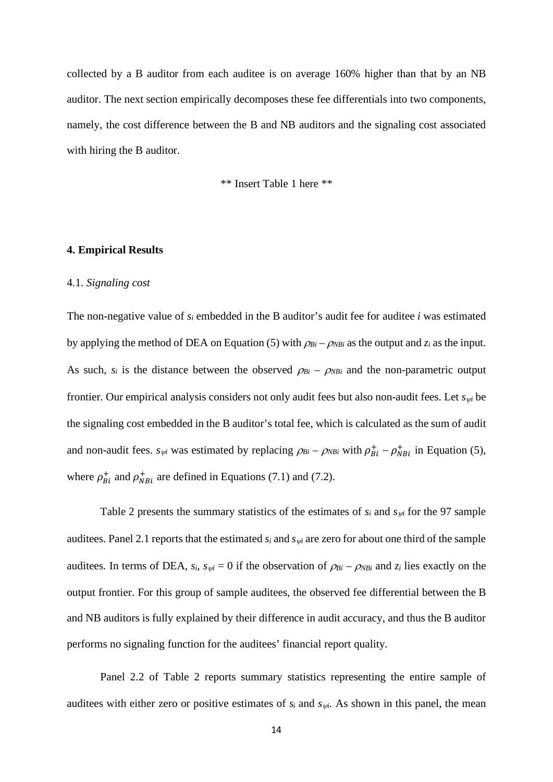collected by a B auditor from each auditee is on average 160% higher than that by an NB auditor. The next section empirically decomposes these fee differentials into two components, namely, the cost difference between the B and NB auditors and the signaling cost associated with hiring the B auditor.

\*\* Insert Table 1 here \*\*

#### **4. Empirical Results**

#### 4.1. *Signaling cost*

The non-negative value of *si* embedded in the B auditor's audit fee for auditee *i* was estimated by applying the method of DEA on Equation (5) with  $\rho_{Bi} - \rho_{NBi}$  as the output and  $z_i$  as the input. As such,  $s_i$  is the distance between the observed  $\rho_{Bi} - \rho_{NBi}$  and the non-parametric output frontier. Our empirical analysis considers not only audit fees but also non-audit fees. Let *s*ψ*<sup>i</sup>* be the signaling cost embedded in the B auditor's total fee, which is calculated as the sum of audit and non-audit fees.  $s_{\psi i}$  was estimated by replacing  $\rho_{Bi} - \rho_{NB}$  with  $\rho_{Bi}^+ - \rho_{NB}^+$  in Equation (5), where  $\rho_{Bi}^{+}$  and  $\rho_{NBi}^{+}$  are defined in Equations (7.1) and (7.2).

Table 2 presents the summary statistics of the estimates of *si* and *s*ψ*<sup>i</sup>* for the 97 sample auditees. Panel 2.1 reports that the estimated  $s_i$  and  $s_{\psi i}$  are zero for about one third of the sample auditees. In terms of DEA,  $s_i$ ,  $s_{\psi i} = 0$  if the observation of  $\rho_{Bi} - \rho_{NBi}$  and  $z_i$  lies exactly on the output frontier. For this group of sample auditees, the observed fee differential between the B and NB auditors is fully explained by their difference in audit accuracy, and thus the B auditor performs no signaling function for the auditees' financial report quality.

Panel 2.2 of Table 2 reports summary statistics representing the entire sample of auditees with either zero or positive estimates of  $s_i$  and  $s_{\psi i}$ . As shown in this panel, the mean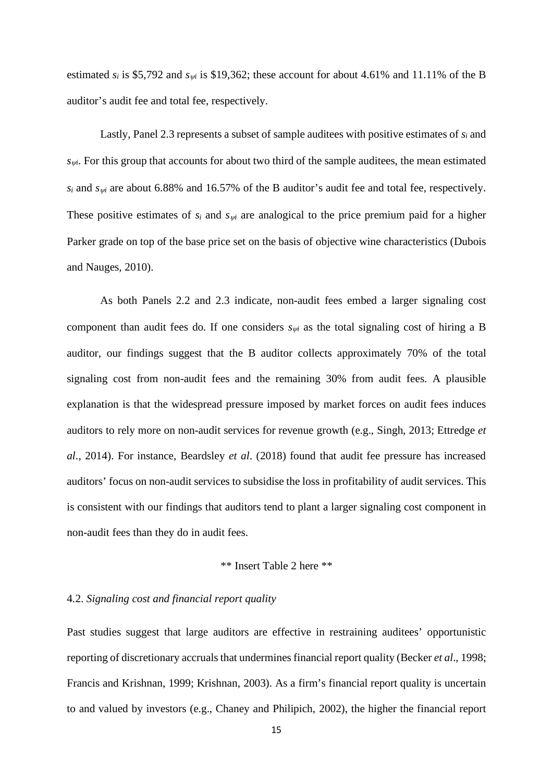estimated  $s_i$  is \$5,792 and  $s_{\psi i}$  is \$19,362; these account for about 4.61% and 11.11% of the B auditor's audit fee and total fee, respectively.

Lastly, Panel 2.3 represents a subset of sample auditees with positive estimates of *si* and  $s_{\psi i}$ . For this group that accounts for about two third of the sample auditees, the mean estimated  $s_i$  and  $s_{wi}$  are about 6.88% and 16.57% of the B auditor's audit fee and total fee, respectively. These positive estimates of  $s_i$  and  $s_{\psi i}$  are analogical to the price premium paid for a higher Parker grade on top of the base price set on the basis of objective wine characteristics (Dubois and Nauges, 2010).

As both Panels 2.2 and 2.3 indicate, non-audit fees embed a larger signaling cost component than audit fees do. If one considers  $s_{\psi i}$  as the total signaling cost of hiring a B auditor, our findings suggest that the B auditor collects approximately 70% of the total signaling cost from non-audit fees and the remaining 30% from audit fees. A plausible explanation is that the widespread pressure imposed by market forces on audit fees induces auditors to rely more on non-audit services for revenue growth (e.g., Singh, 2013; Ettredge *et al*., 2014). For instance, Beardsley *et al*. (2018) found that audit fee pressure has increased auditors' focus on non-audit services to subsidise the loss in profitability of audit services. This is consistent with our findings that auditors tend to plant a larger signaling cost component in non-audit fees than they do in audit fees.

## \*\* Insert Table 2 here \*\*

### 4.2. *Signaling cost and financial report quality*

Past studies suggest that large auditors are effective in restraining auditees' opportunistic reporting of discretionary accruals that undermines financial report quality (Becker *et al.*, 1998; Francis and Krishnan, 1999; Krishnan, 2003). As a firm's financial report quality is uncertain to and valued by investors (e.g., Chaney and Philipich, 2002), the higher the financial report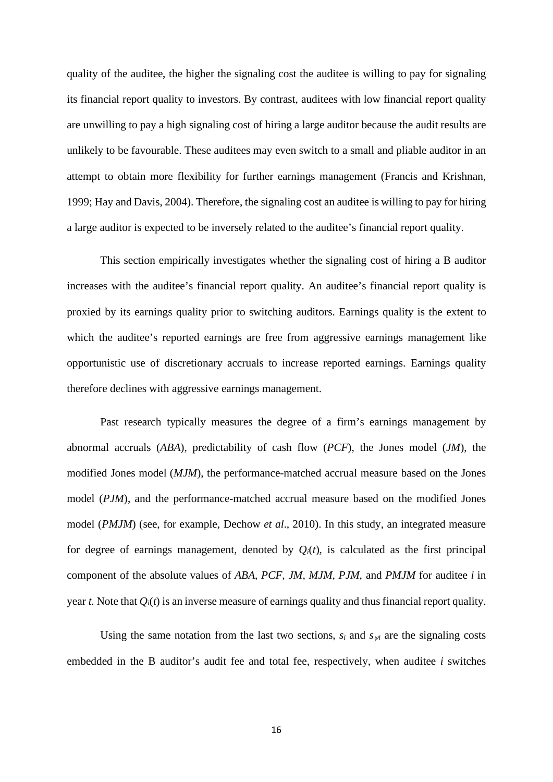quality of the auditee, the higher the signaling cost the auditee is willing to pay for signaling its financial report quality to investors. By contrast, auditees with low financial report quality are unwilling to pay a high signaling cost of hiring a large auditor because the audit results are unlikely to be favourable. These auditees may even switch to a small and pliable auditor in an attempt to obtain more flexibility for further earnings management (Francis and Krishnan, 1999; Hay and Davis, 2004). Therefore, the signaling cost an auditee is willing to pay for hiring a large auditor is expected to be inversely related to the auditee's financial report quality.

This section empirically investigates whether the signaling cost of hiring a B auditor increases with the auditee's financial report quality. An auditee's financial report quality is proxied by its earnings quality prior to switching auditors. Earnings quality is the extent to which the auditee's reported earnings are free from aggressive earnings management like opportunistic use of discretionary accruals to increase reported earnings. Earnings quality therefore declines with aggressive earnings management.

Past research typically measures the degree of a firm's earnings management by abnormal accruals (*ABA*), predictability of cash flow (*PCF*), the Jones model (*JM*), the modified Jones model (*MJM*), the performance-matched accrual measure based on the Jones model (*PJM*), and the performance-matched accrual measure based on the modified Jones model (*PMJM*) (see, for example, Dechow *et al*., 2010). In this study, an integrated measure for degree of earnings management, denoted by  $Q_i(t)$ , is calculated as the first principal component of the absolute values of *ABA*, *PCF*, *JM*, *MJM*, *PJM*, and *PMJM* for auditee *i* in year *t*. Note that *Qi*(*t*) is an inverse measure of earnings quality and thus financial report quality.

Using the same notation from the last two sections,  $s_i$  and  $s_{wi}$  are the signaling costs embedded in the B auditor's audit fee and total fee, respectively, when auditee *i* switches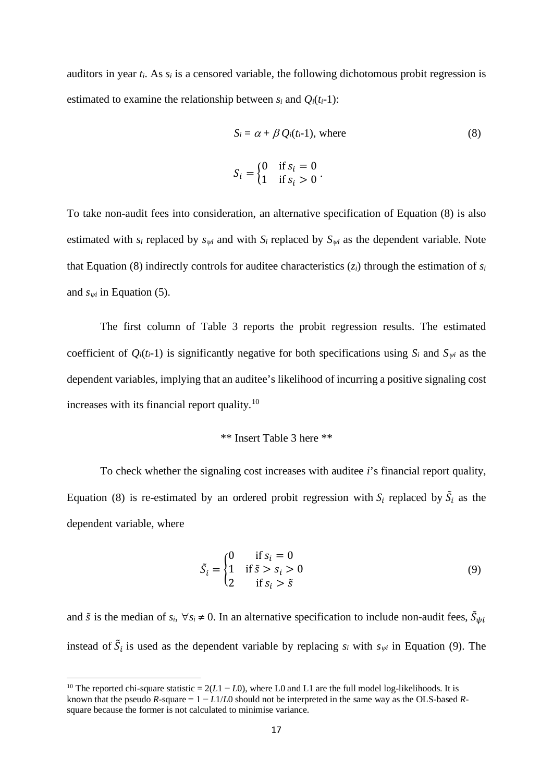auditors in year *ti*. As *si* is a censored variable, the following dichotomous probit regression is estimated to examine the relationship between  $s_i$  and  $Q_i(t_i-1)$ :

$$
S_i = \alpha + \beta Q_i(t_i - 1), \text{ where}
$$
\n
$$
S_i = \begin{cases} 0 & \text{if } s_i = 0 \\ 1 & \text{if } s_i > 0 \end{cases}.
$$
\n(8)

To take non-audit fees into consideration, an alternative specification of Equation (8) is also estimated with  $s_i$  replaced by  $s_{\psi i}$  and with  $S_i$  replaced by  $S_{\psi i}$  as the dependent variable. Note that Equation (8) indirectly controls for auditee characteristics  $(z_i)$  through the estimation of  $s_i$ and  $s_{wi}$  in Equation (5).

The first column of Table 3 reports the probit regression results. The estimated coefficient of  $Q_i(t_i-1)$  is significantly negative for both specifications using  $S_i$  and  $S_{\psi i}$  as the dependent variables, implying that an auditee's likelihood of incurring a positive signaling cost increases with its financial report quality.<sup>[10](#page-16-0)</sup>

### \*\* Insert Table 3 here \*\*

To check whether the signaling cost increases with auditee *i*'s financial report quality, Equation (8) is re-estimated by an ordered probit regression with  $S_i$  replaced by  $\tilde{S}_i$  as the dependent variable, where

$$
\tilde{S}_i = \begin{cases}\n0 & \text{if } s_i = 0 \\
1 & \text{if } \tilde{s} > s_i > 0 \\
2 & \text{if } s_i > \tilde{s}\n\end{cases}
$$
\n(9)

and  $\tilde{s}$  is the median of  $s_i$ ,  $\forall s_i \neq 0$ . In an alternative specification to include non-audit fees,  $\tilde{S}_{\psi}$ instead of  $\hat{S}_i$  is used as the dependent variable by replacing  $s_i$  with  $s_{\psi i}$  in Equation (9). The

<span id="page-16-0"></span><sup>&</sup>lt;sup>10</sup> The reported chi-square statistic =  $2(L1 - L0)$ , where L0 and L1 are the full model log-likelihoods. It is known that the pseudo  $R$ -square =  $1 - L1/L0$  should not be interpreted in the same way as the OLS-based  $R$ square because the former is not calculated to minimise variance.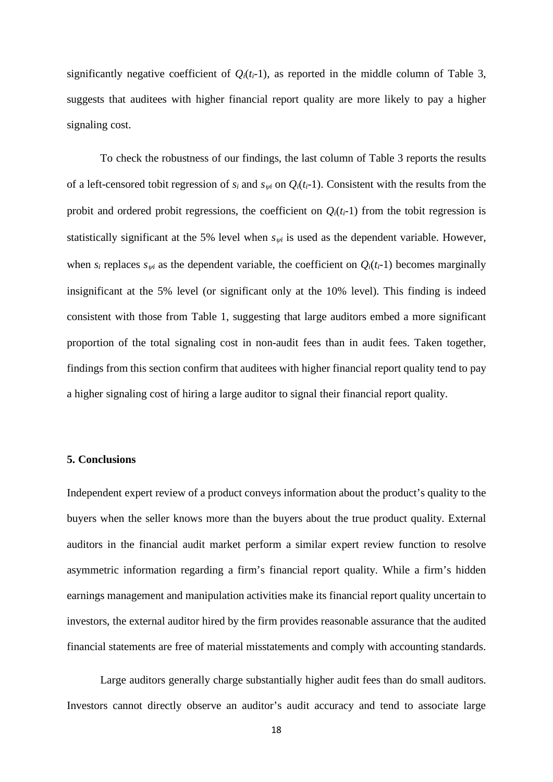significantly negative coefficient of  $Q_i(t_i-1)$ , as reported in the middle column of Table 3, suggests that auditees with higher financial report quality are more likely to pay a higher signaling cost.

To check the robustness of our findings, the last column of Table 3 reports the results of a left-censored tobit regression of  $s_i$  and  $s_{wi}$  on  $Q_i(t_i-1)$ . Consistent with the results from the probit and ordered probit regressions, the coefficient on  $Q_i(t_i-1)$  from the tobit regression is statistically significant at the 5% level when  $s_{\psi i}$  is used as the dependent variable. However, when  $s_i$  replaces  $s_{\psi i}$  as the dependent variable, the coefficient on  $Q_i(t_i-1)$  becomes marginally insignificant at the 5% level (or significant only at the 10% level). This finding is indeed consistent with those from Table 1, suggesting that large auditors embed a more significant proportion of the total signaling cost in non-audit fees than in audit fees. Taken together, findings from this section confirm that auditees with higher financial report quality tend to pay a higher signaling cost of hiring a large auditor to signal their financial report quality.

### **5. Conclusions**

Independent expert review of a product conveys information about the product's quality to the buyers when the seller knows more than the buyers about the true product quality. External auditors in the financial audit market perform a similar expert review function to resolve asymmetric information regarding a firm's financial report quality. While a firm's hidden earnings management and manipulation activities make its financial report quality uncertain to investors, the external auditor hired by the firm provides reasonable assurance that the audited financial statements are free of material misstatements and comply with accounting standards.

Large auditors generally charge substantially higher audit fees than do small auditors. Investors cannot directly observe an auditor's audit accuracy and tend to associate large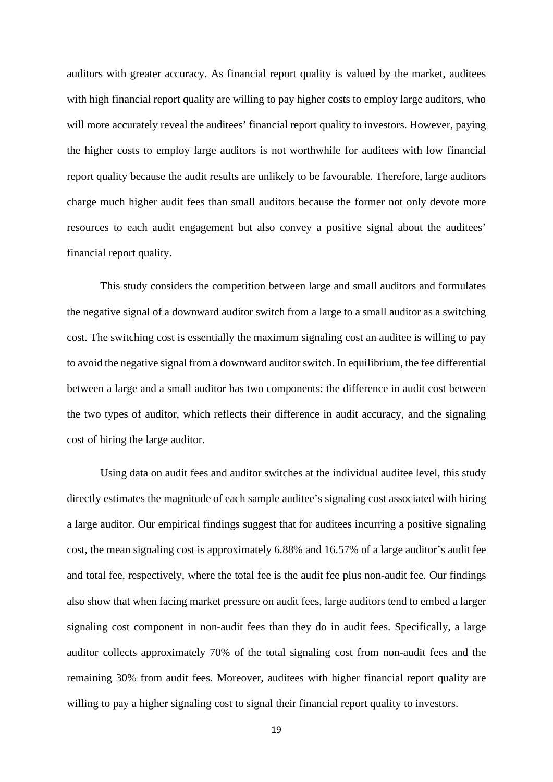auditors with greater accuracy. As financial report quality is valued by the market, auditees with high financial report quality are willing to pay higher costs to employ large auditors, who will more accurately reveal the auditees' financial report quality to investors. However, paying the higher costs to employ large auditors is not worthwhile for auditees with low financial report quality because the audit results are unlikely to be favourable. Therefore, large auditors charge much higher audit fees than small auditors because the former not only devote more resources to each audit engagement but also convey a positive signal about the auditees' financial report quality.

This study considers the competition between large and small auditors and formulates the negative signal of a downward auditor switch from a large to a small auditor as a switching cost. The switching cost is essentially the maximum signaling cost an auditee is willing to pay to avoid the negative signal from a downward auditor switch. In equilibrium, the fee differential between a large and a small auditor has two components: the difference in audit cost between the two types of auditor, which reflects their difference in audit accuracy, and the signaling cost of hiring the large auditor.

Using data on audit fees and auditor switches at the individual auditee level, this study directly estimates the magnitude of each sample auditee's signaling cost associated with hiring a large auditor. Our empirical findings suggest that for auditees incurring a positive signaling cost, the mean signaling cost is approximately 6.88% and 16.57% of a large auditor's audit fee and total fee, respectively, where the total fee is the audit fee plus non-audit fee. Our findings also show that when facing market pressure on audit fees, large auditors tend to embed a larger signaling cost component in non-audit fees than they do in audit fees. Specifically, a large auditor collects approximately 70% of the total signaling cost from non-audit fees and the remaining 30% from audit fees. Moreover, auditees with higher financial report quality are willing to pay a higher signaling cost to signal their financial report quality to investors.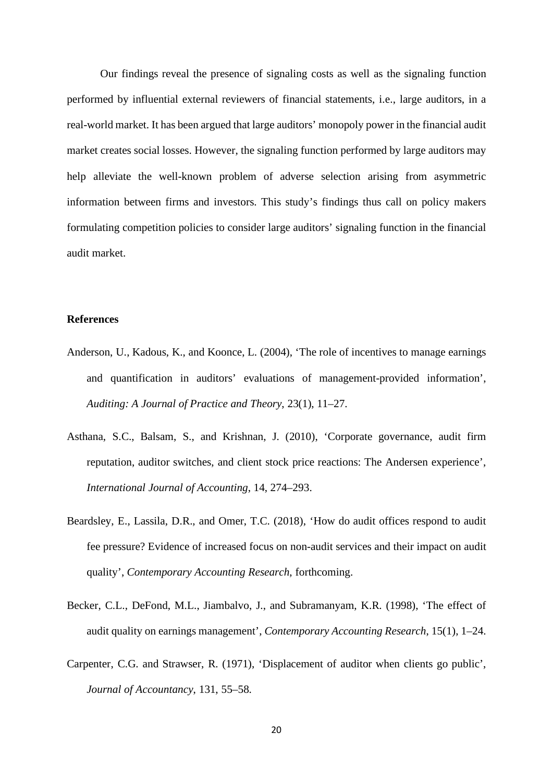Our findings reveal the presence of signaling costs as well as the signaling function performed by influential external reviewers of financial statements, i.e., large auditors, in a real-world market. It has been argued that large auditors' monopoly power in the financial audit market creates social losses. However, the signaling function performed by large auditors may help alleviate the well-known problem of adverse selection arising from asymmetric information between firms and investors. This study's findings thus call on policy makers formulating competition policies to consider large auditors' signaling function in the financial audit market.

### **References**

- Anderson, U., Kadous, K., and Koonce, L. (2004), 'The role of incentives to manage earnings and quantification in auditors' evaluations of management-provided information', *Auditing: A Journal of Practice and Theory*, 23(1), 11–27.
- Asthana, S.C., Balsam, S., and Krishnan, J. (2010), 'Corporate governance, audit firm reputation, auditor switches, and client stock price reactions: The Andersen experience', *International Journal of Accounting*, 14, 274–293.
- Beardsley, E., Lassila, D.R., and Omer, T.C. (2018), 'How do audit offices respond to audit fee pressure? Evidence of increased focus on non-audit services and their impact on audit quality', *Contemporary Accounting Research*, forthcoming.
- Becker, C.L., DeFond, M.L., Jiambalvo, J., and Subramanyam, K.R. (1998), 'The effect of audit quality on earnings management', *Contemporary Accounting Research*, 15(1), 1–24.
- Carpenter, C.G. and Strawser, R. (1971), 'Displacement of auditor when clients go public', *Journal of Accountancy*, 131, 55–58.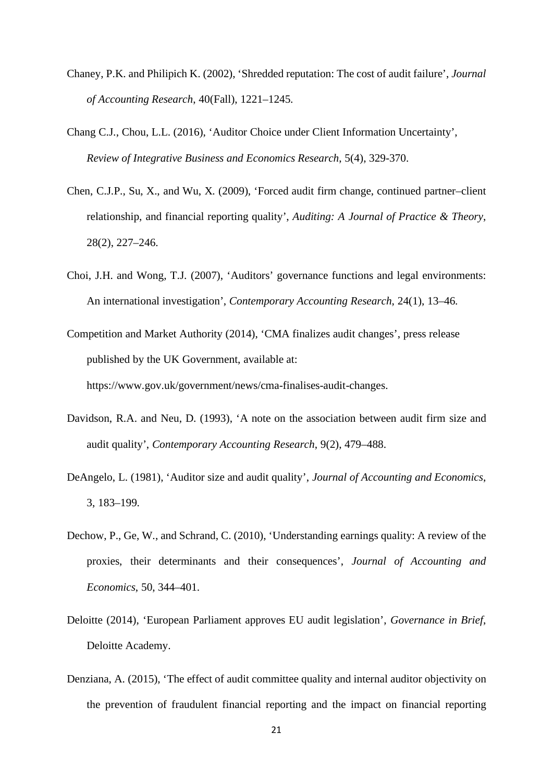- Chaney, P.K. and Philipich K. (2002), 'Shredded reputation: The cost of audit failure', *Journal of Accounting Research*, 40(Fall), 1221–1245.
- Chang C.J., Chou, L.L. (2016), 'Auditor Choice under Client Information Uncertainty', *Review of Integrative Business and Economics Research*, 5(4), 329-370.
- Chen, C.J.P., Su, X., and Wu, X. (2009), 'Forced audit firm change, continued partner–client relationship, and financial reporting quality', *Auditing: A Journal of Practice & Theory*, 28(2), 227–246.
- Choi, J.H. and Wong, T.J. (2007), 'Auditors' governance functions and legal environments: An international investigation', *Contemporary Accounting Research*, 24(1), 13–46.
- Competition and Market Authority (2014), 'CMA finalizes audit changes', press release published by the UK Government, available at: https://www.gov.uk/government/news/cma-finalises-audit-changes.
- Davidson, R.A. and Neu, D. (1993), 'A note on the association between audit firm size and audit quality', *Contemporary Accounting Research*, 9(2), 479–488.
- DeAngelo, L. (1981), 'Auditor size and audit quality', *Journal of Accounting and Economics*, 3, 183–199.
- Dechow, P., Ge, W., and Schrand, C. (2010), 'Understanding earnings quality: A review of the proxies, their determinants and their consequences', *Journal of Accounting and Economics*, 50, 344–401.
- Deloitte (2014), 'European Parliament approves EU audit legislation', *Governance in Brief*, Deloitte Academy.
- Denziana, A. (2015), 'The effect of audit committee quality and internal auditor objectivity on the prevention of fraudulent financial reporting and the impact on financial reporting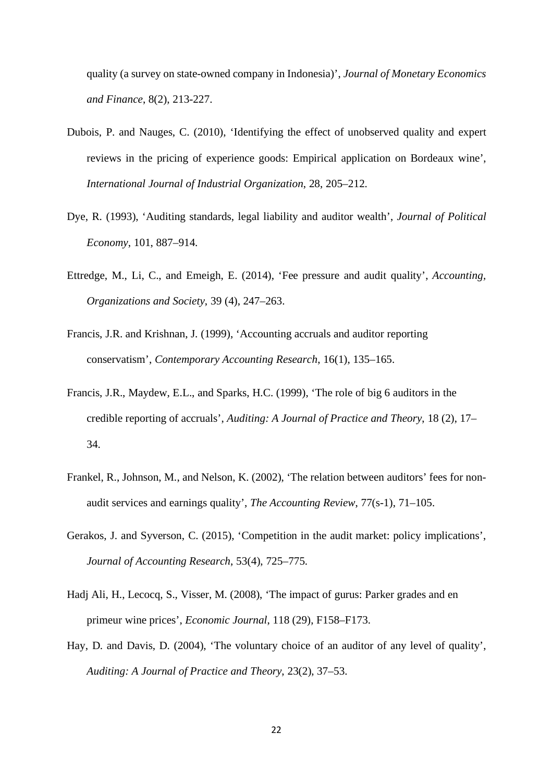quality (a survey on state-owned company in Indonesia)', *Journal of Monetary Economics and Finance*, 8(2), 213-227.

- Dubois, P. and Nauges, C. (2010), 'Identifying the effect of unobserved quality and expert reviews in the pricing of experience goods: Empirical application on Bordeaux wine', *International Journal of Industrial Organization*, 28, 205–212.
- Dye, R. (1993), 'Auditing standards, legal liability and auditor wealth', *Journal of Political Economy*, 101, 887–914.
- Ettredge, M., Li, C., and Emeigh, E. (2014), 'Fee pressure and audit quality', *Accounting, Organizations and Society*, 39 (4), 247–263.
- Francis, J.R. and Krishnan, J. (1999), 'Accounting accruals and auditor reporting conservatism', *Contemporary Accounting Research*, 16(1), 135–165.
- Francis, J.R., Maydew, E.L., and Sparks, H.C. (1999), 'The role of big 6 auditors in the credible reporting of accruals', *Auditing: A Journal of Practice and Theory*, 18 (2), 17– 34.
- Frankel, R., Johnson, M., and Nelson, K. (2002), 'The relation between auditors' fees for nonaudit services and earnings quality', *The Accounting Review*, 77(s-1), 71–105.
- Gerakos, J. and Syverson, C. (2015), 'Competition in the audit market: policy implications', *Journal of Accounting Research*, 53(4), 725–775.
- Hadj Ali, H., Lecocq, S., Visser, M. (2008), 'The impact of gurus: Parker grades and en primeur wine prices', *Economic Journal*, 118 (29), F158–F173.
- Hay, D. and Davis, D. (2004), 'The voluntary choice of an auditor of any level of quality', *Auditing: A Journal of Practice and Theory*, 23(2), 37–53.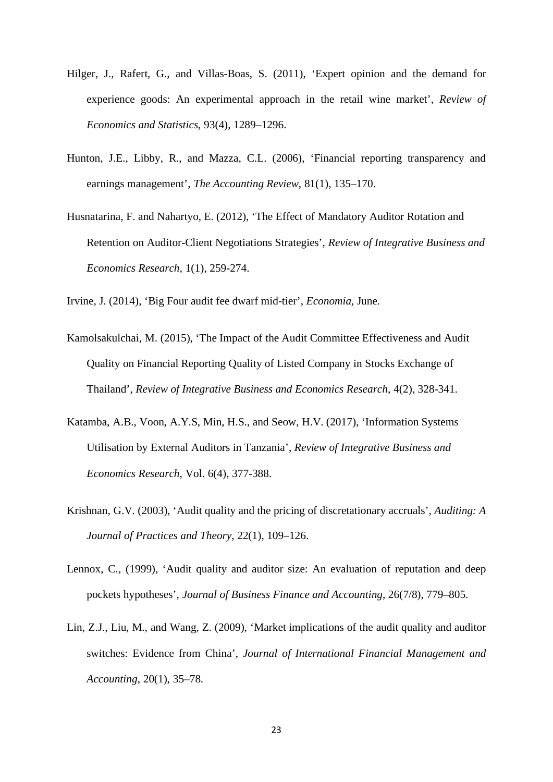- Hilger, J., Rafert, G., and Villas-Boas, S. (2011), 'Expert opinion and the demand for experience goods: An experimental approach in the retail wine market', *Review of Economics and Statistics*, 93(4), 1289–1296.
- Hunton, J.E., Libby, R., and Mazza, C.L. (2006), 'Financial reporting transparency and earnings management', *The Accounting Review*, 81(1), 135–170.
- Husnatarina, F. and Nahartyo, E. (2012), 'The Effect of Mandatory Auditor Rotation and Retention on Auditor-Client Negotiations Strategies', *Review of Integrative Business and Economics Research*, 1(1), 259-274.

Irvine, J. (2014), 'Big Four audit fee dwarf mid-tier', *Economia*, June.

- Kamolsakulchai, M. (2015), 'The Impact of the Audit Committee Effectiveness and Audit Quality on Financial Reporting Quality of Listed Company in Stocks Exchange of Thailand', *Review of Integrative Business and Economics Research*, 4(2), 328-341.
- Katamba, A.B., Voon, A.Y.S, Min, H.S., and Seow, H.V. (2017), 'Information Systems Utilisation by External Auditors in Tanzania', *Review of Integrative Business and Economics Research*, Vol. 6(4), 377-388.
- Krishnan, G.V. (2003), 'Audit quality and the pricing of discretationary accruals', *Auditing: A Journal of Practices and Theory*, 22(1), 109–126.
- Lennox, C., (1999), 'Audit quality and auditor size: An evaluation of reputation and deep pockets hypotheses', *Journal of Business Finance and Accounting*, 26(7/8), 779–805.
- Lin, Z.J., Liu, M., and Wang, Z. (2009), 'Market implications of the audit quality and auditor switches: Evidence from China', *Journal of International Financial Management and Accounting*, 20(1), 35–78.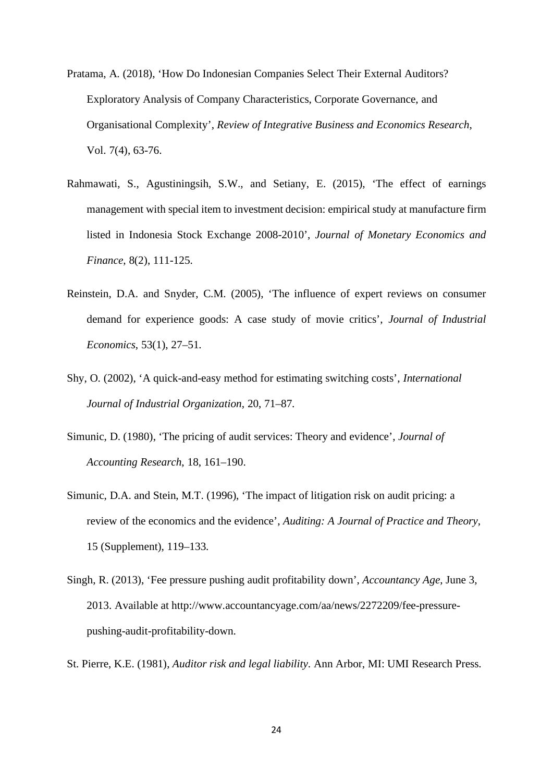- Pratama, A. (2018), 'How Do Indonesian Companies Select Their External Auditors? Exploratory Analysis of Company Characteristics, Corporate Governance, and Organisational Complexity', *Review of Integrative Business and Economics Research*, Vol. 7(4), 63-76.
- Rahmawati, S., Agustiningsih, S.W., and Setiany, E. (2015), 'The effect of earnings management with special item to investment decision: empirical study at manufacture firm listed in Indonesia Stock Exchange 2008-2010', *Journal of Monetary Economics and Finance*, 8(2), 111-125.
- Reinstein, D.A. and Snyder, C.M. (2005), 'The influence of expert reviews on consumer demand for experience goods: A case study of movie critics', *Journal of Industrial Economics*, 53(1), 27–51.
- Shy, O. (2002), 'A quick-and-easy method for estimating switching costs', *International Journal of Industrial Organization*, 20, 71–87.
- Simunic, D. (1980), 'The pricing of audit services: Theory and evidence', *Journal of Accounting Research*, 18, 161–190.
- Simunic, D.A. and Stein, M.T. (1996), 'The impact of litigation risk on audit pricing: a review of the economics and the evidence', *Auditing: A Journal of Practice and Theory*, 15 (Supplement), 119–133.
- Singh, R. (2013), 'Fee pressure pushing audit profitability down', *Accountancy Age*, June 3, 2013. Available at [http://www.accountancyage.com/aa/news/2272209/fee-pressure](http://www.accountancyage.com/aa/news/2272209/fee-pressure-pushing-audit-profitability-down)[pushing-audit-profitability-down.](http://www.accountancyage.com/aa/news/2272209/fee-pressure-pushing-audit-profitability-down)
- St. Pierre, K.E. (1981), *Auditor risk and legal liability*. Ann Arbor, MI: UMI Research Press.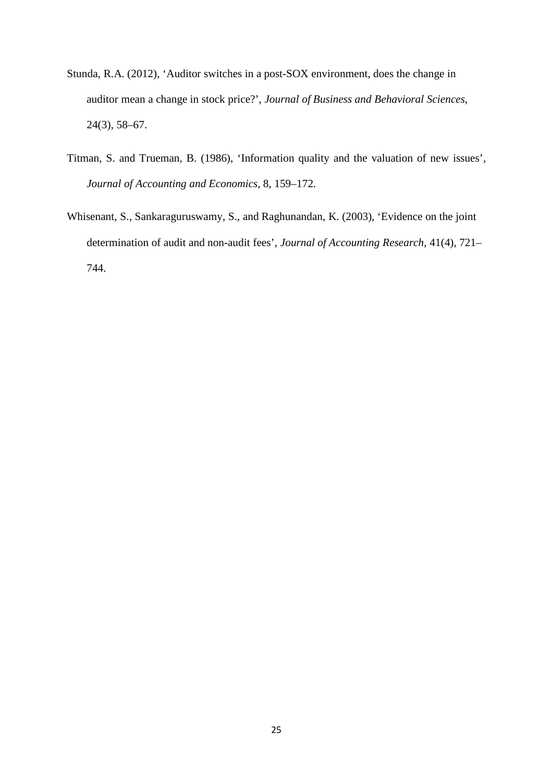- Stunda, R.A. (2012), 'Auditor switches in a post-SOX environment, does the change in auditor mean a change in stock price?', *Journal of Business and Behavioral Sciences*, 24(3), 58–67.
- Titman, S. and Trueman, B. (1986), 'Information quality and the valuation of new issues', *Journal of Accounting and Economics*, 8, 159–172.
- Whisenant, S., Sankaraguruswamy, S., and Raghunandan, K. (2003), 'Evidence on the joint determination of audit and non-audit fees', *Journal of Accounting Research*, 41(4), 721– 744.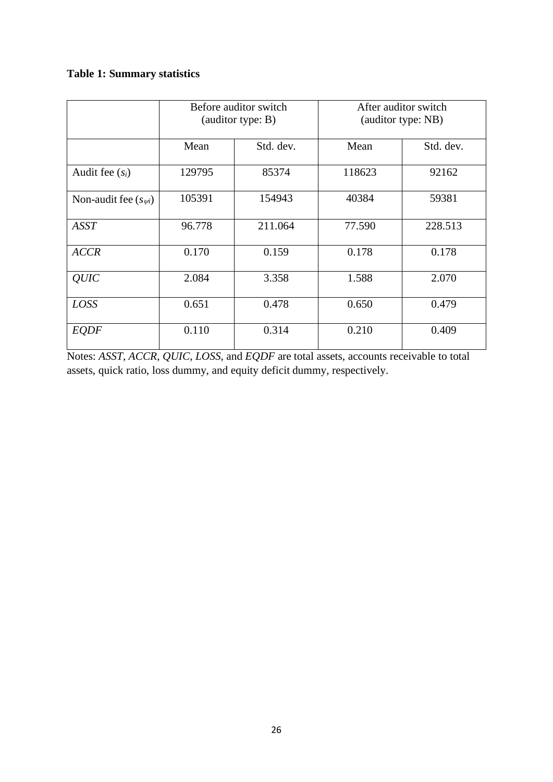# **Table 1: Summary statistics**

|                          | Before auditor switch<br>(auditor type: B) |           | After auditor switch<br>(auditor type: NB) |           |  |
|--------------------------|--------------------------------------------|-----------|--------------------------------------------|-----------|--|
|                          | Mean                                       | Std. dev. | Mean                                       | Std. dev. |  |
| Audit fee $(s_i)$        | 129795                                     | 85374     | 118623                                     | 92162     |  |
| Non-audit fee $(s_{wi})$ | 105391                                     | 154943    | 40384                                      | 59381     |  |
| ASST                     | 96.778                                     | 211.064   | 77.590                                     | 228.513   |  |
| <b>ACCR</b>              | 0.170                                      | 0.159     | 0.178                                      | 0.178     |  |
| <b>OUIC</b>              | 2.084                                      | 3.358     | 1.588                                      | 2.070     |  |
| LOSS                     | 0.651                                      | 0.478     | 0.650                                      | 0.479     |  |
| <b>EQDF</b>              | 0.110                                      | 0.314     | 0.210                                      | 0.409     |  |

Notes: *ASST*, *ACCR*, *QUIC*, *LOSS*, and *EQDF* are total assets, accounts receivable to total assets, quick ratio, loss dummy, and equity deficit dummy, respectively.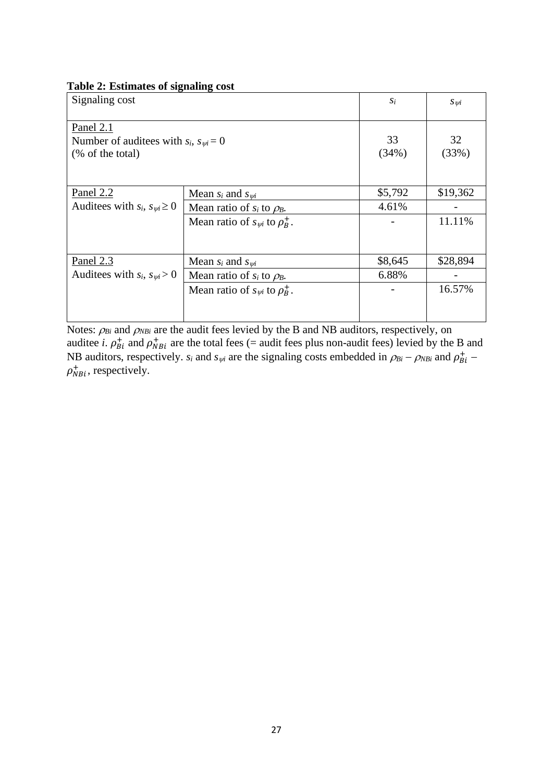| Signaling cost                                                                    | $S_i$                                      | $S_{\mathcal{V}}$ |          |
|-----------------------------------------------------------------------------------|--------------------------------------------|-------------------|----------|
| Panel 2.1<br>Number of audities with $s_i$ , $s_{\psi i} = 0$<br>(% of the total) | 33<br>(34%)                                | 32<br>(33%)       |          |
| Panel $2.2$                                                                       | Mean $s_i$ and $s_{wi}$                    | \$5,792           | \$19,362 |
| Auditees with $s_i$ , $s_{\psi i} \geq 0$                                         | Mean ratio of $s_i$ to $\rho_B$ .          | 4.61%             |          |
|                                                                                   | Mean ratio of $s_{\psi i}$ to $\rho_R^+$ . |                   | 11.11%   |
| Panel $2.3$                                                                       | Mean $s_i$ and $s_{wi}$                    | \$8,645           | \$28,894 |
| Auditees with $s_i$ , $s_{wi} > 0$                                                | Mean ratio of $s_i$ to $\rho_B$ .          | 6.88%             |          |
|                                                                                   | Mean ratio of $s_{wi}$ to $\rho_R^+$ .     |                   | 16.57%   |

Notes:  $\rho_{Bi}$  and  $\rho_{NBi}$  are the audit fees levied by the B and NB auditors, respectively, on auditee *i*.  $\rho_{Bi}^+$  and  $\rho_{NBi}^+$  are the total fees (= audit fees plus non-audit fees) levied by the B and NB auditors, respectively. *s<sub>i</sub>* and *s<sub>ψi</sub>* are the signaling costs embedded in  $\rho_{Bi} - \rho_{NBi}$  and  $\rho_{Bi}^+$  –  $\rho_{NBi}^{+}$ , respectively.